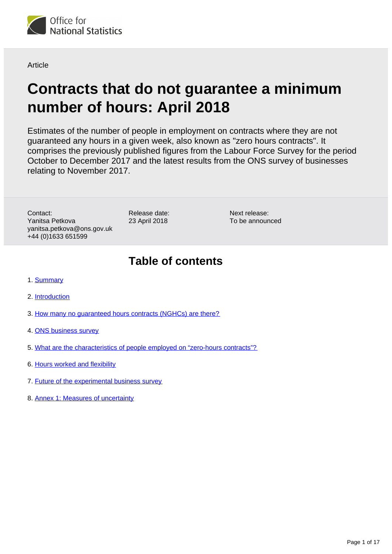

**Article** 

# **Contracts that do not guarantee a minimum number of hours: April 2018**

Estimates of the number of people in employment on contracts where they are not guaranteed any hours in a given week, also known as "zero hours contracts". It comprises the previously published figures from the Labour Force Survey for the period October to December 2017 and the latest results from the ONS survey of businesses relating to November 2017.

Contact: Yanitsa Petkova yanitsa.petkova@ons.gov.uk +44 (0)1633 651599

Release date: 23 April 2018

Next release: To be announced

## **Table of contents**

- 1. [Summary](#page-1-0)
- 2. [Introduction](#page-1-1)
- 3. [How many no guaranteed hours contracts \(NGHCs\) are there?](#page-2-0)
- 4. [ONS business survey](#page-5-0)
- 5. [What are the characteristics of people employed on "zero-hours contracts"?](#page-7-0)
- 6. [Hours worked and flexibility](#page-12-0)
- 7. [Future of the experimental business survey](#page-14-0)
- 8. [Annex 1: Measures of uncertainty](#page-16-0)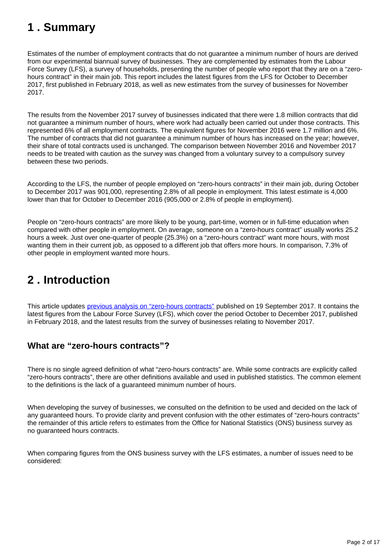## <span id="page-1-0"></span>**1 . Summary**

Estimates of the number of employment contracts that do not guarantee a minimum number of hours are derived from our experimental biannual survey of businesses. They are complemented by estimates from the Labour Force Survey (LFS), a survey of households, presenting the number of people who report that they are on a "zerohours contract" in their main job. This report includes the latest figures from the LFS for October to December 2017, first published in February 2018, as well as new estimates from the survey of businesses for November 2017.

The results from the November 2017 survey of businesses indicated that there were 1.8 million contracts that did not guarantee a minimum number of hours, where work had actually been carried out under those contracts. This represented 6% of all employment contracts. The equivalent figures for November 2016 were 1.7 million and 6%. The number of contracts that did not guarantee a minimum number of hours has increased on the year; however, their share of total contracts used is unchanged. The comparison between November 2016 and November 2017 needs to be treated with caution as the survey was changed from a voluntary survey to a compulsory survey between these two periods.

According to the LFS, the number of people employed on "zero-hours contracts" in their main job, during October to December 2017 was 901,000, representing 2.8% of all people in employment. This latest estimate is 4,000 lower than that for October to December 2016 (905,000 or 2.8% of people in employment).

People on "zero-hours contracts" are more likely to be young, part-time, women or in full-time education when compared with other people in employment. On average, someone on a "zero-hours contract" usually works 25.2 hours a week. Just over one-quarter of people (25.3%) on a "zero-hours contract" want more hours, with most wanting them in their current job, as opposed to a different job that offers more hours. In comparison, 7.3% of other people in employment wanted more hours.

## <span id="page-1-1"></span>**2 . Introduction**

This article updates [previous analysis on "zero-hours contracts"](https://www.ons.gov.uk/employmentandlabourmarket/peopleinwork/earningsandworkinghours/articles/contractsthatdonotguaranteeaminimumnumberofhours/september2017) published on 19 September 2017. It contains the latest figures from the Labour Force Survey (LFS), which cover the period October to December 2017, published in February 2018, and the latest results from the survey of businesses relating to November 2017.

### **What are "zero-hours contracts"?**

There is no single agreed definition of what "zero-hours contracts" are. While some contracts are explicitly called "zero-hours contracts", there are other definitions available and used in published statistics. The common element to the definitions is the lack of a guaranteed minimum number of hours.

When developing the survey of businesses, we consulted on the definition to be used and decided on the lack of any guaranteed hours. To provide clarity and prevent confusion with the other estimates of "zero-hours contracts" the remainder of this article refers to estimates from the Office for National Statistics (ONS) business survey as no guaranteed hours contracts.

When comparing figures from the ONS business survey with the LFS estimates, a number of issues need to be considered: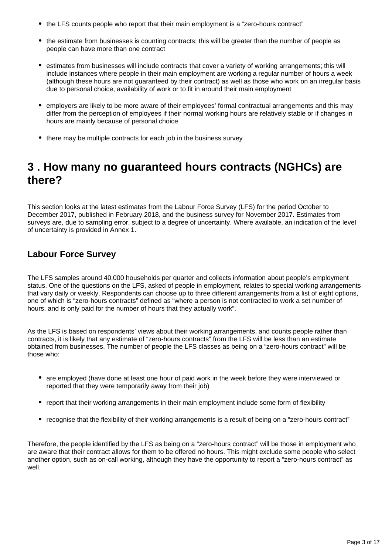- the LFS counts people who report that their main employment is a "zero-hours contract"
- the estimate from businesses is counting contracts; this will be greater than the number of people as people can have more than one contract
- estimates from businesses will include contracts that cover a variety of working arrangements; this will include instances where people in their main employment are working a regular number of hours a week (although these hours are not guaranteed by their contract) as well as those who work on an irregular basis due to personal choice, availability of work or to fit in around their main employment
- employers are likely to be more aware of their employees' formal contractual arrangements and this may differ from the perception of employees if their normal working hours are relatively stable or if changes in hours are mainly because of personal choice
- there may be multiple contracts for each job in the business survey

## <span id="page-2-0"></span>**3 . How many no guaranteed hours contracts (NGHCs) are there?**

This section looks at the latest estimates from the Labour Force Survey (LFS) for the period October to December 2017, published in February 2018, and the business survey for November 2017. Estimates from surveys are, due to sampling error, subject to a degree of uncertainty. Where available, an indication of the level of uncertainty is provided in Annex 1.

### **Labour Force Survey**

The LFS samples around 40,000 households per quarter and collects information about people's employment status. One of the questions on the LFS, asked of people in employment, relates to special working arrangements that vary daily or weekly. Respondents can choose up to three different arrangements from a list of eight options, one of which is "zero-hours contracts" defined as "where a person is not contracted to work a set number of hours, and is only paid for the number of hours that they actually work".

As the LFS is based on respondents' views about their working arrangements, and counts people rather than contracts, it is likely that any estimate of "zero-hours contracts" from the LFS will be less than an estimate obtained from businesses. The number of people the LFS classes as being on a "zero-hours contract" will be those who:

- are employed (have done at least one hour of paid work in the week before they were interviewed or reported that they were temporarily away from their job)
- report that their working arrangements in their main employment include some form of flexibility
- recognise that the flexibility of their working arrangements is a result of being on a "zero-hours contract"

Therefore, the people identified by the LFS as being on a "zero-hours contract" will be those in employment who are aware that their contract allows for them to be offered no hours. This might exclude some people who select another option, such as on-call working, although they have the opportunity to report a "zero-hours contract" as well.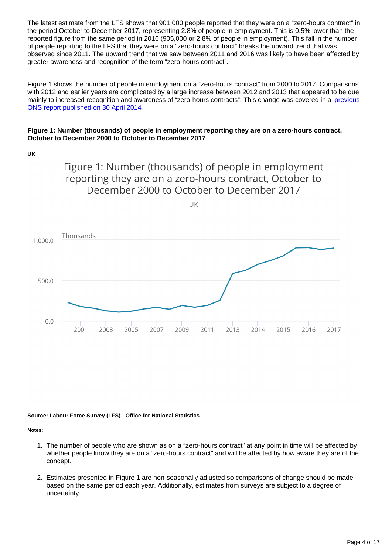The latest estimate from the LFS shows that 901,000 people reported that they were on a "zero-hours contract" in the period October to December 2017, representing 2.8% of people in employment. This is 0.5% lower than the reported figure from the same period in 2016 (905,000 or 2.8% of people in employment). This fall in the number of people reporting to the LFS that they were on a "zero-hours contract" breaks the upward trend that was observed since 2011. The upward trend that we saw between 2011 and 2016 was likely to have been affected by greater awareness and recognition of the term "zero-hours contract".

Figure 1 shows the number of people in employment on a "zero-hours contract" from 2000 to 2017. Comparisons with 2012 and earlier years are complicated by a large increase between 2012 and 2013 that appeared to be due mainly to increased recognition and awareness of "zero-hours contracts". This change was covered in a previous [ONS report published on 30 April 2014.](http://www.ons.gov.uk/ons/rel/lmac/contracts-with-no-guaranteed-hours/zero-hours-contracts/art-zero-hours.html)

#### **Figure 1: Number (thousands) of people in employment reporting they are on a zero-hours contract, October to December 2000 to October to December 2017**

**UK**

Figure 1: Number (thousands) of people in employment reporting they are on a zero-hours contract, October to December 2000 to October to December 2017

**IIK** 



**Source: Labour Force Survey (LFS) - Office for National Statistics**

**Notes:**

- 1. The number of people who are shown as on a "zero-hours contract" at any point in time will be affected by whether people know they are on a "zero-hours contract" and will be affected by how aware they are of the concept.
- 2. Estimates presented in Figure 1 are non-seasonally adjusted so comparisons of change should be made based on the same period each year. Additionally, estimates from surveys are subject to a degree of uncertainty.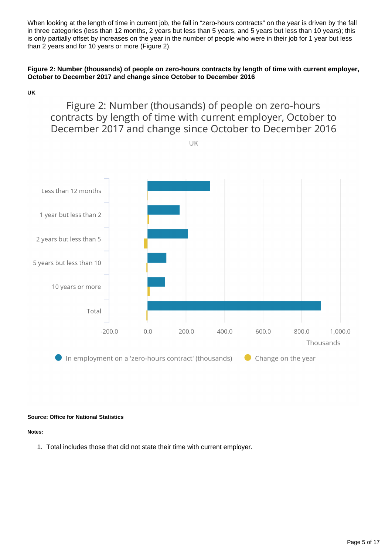When looking at the length of time in current job, the fall in "zero-hours contracts" on the year is driven by the fall in three categories (less than 12 months, 2 years but less than 5 years, and 5 years but less than 10 years); this is only partially offset by increases on the year in the number of people who were in their job for 1 year but less than 2 years and for 10 years or more (Figure 2).

### **Figure 2: Number (thousands) of people on zero-hours contracts by length of time with current employer, October to December 2017 and change since October to December 2016**

**UK**

### Figure 2: Number (thousands) of people on zero-hours contracts by length of time with current employer, October to December 2017 and change since October to December 2016

UK



#### **Source: Office for National Statistics**

**Notes:**

1. Total includes those that did not state their time with current employer.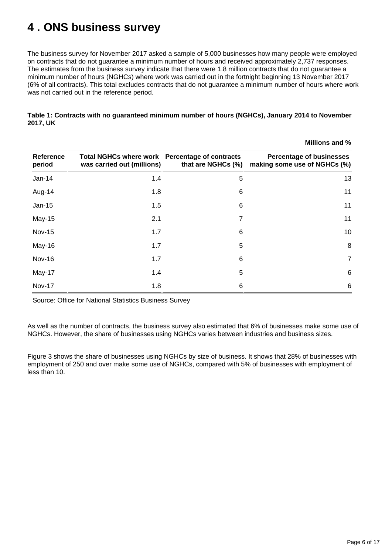## <span id="page-5-0"></span>**4 . ONS business survey**

The business survey for November 2017 asked a sample of 5,000 businesses how many people were employed on contracts that do not guarantee a minimum number of hours and received approximately 2,737 responses. The estimates from the business survey indicate that there were 1.8 million contracts that do not guarantee a minimum number of hours (NGHCs) where work was carried out in the fortnight beginning 13 November 2017 (6% of all contracts). This total excludes contracts that do not guarantee a minimum number of hours where work was not carried out in the reference period.

|                            |                                                                              |                    | Millions and %                                                  |  |
|----------------------------|------------------------------------------------------------------------------|--------------------|-----------------------------------------------------------------|--|
| <b>Reference</b><br>period | Total NGHCs where work Percentage of contracts<br>was carried out (millions) | that are NGHCs (%) | <b>Percentage of businesses</b><br>making some use of NGHCs (%) |  |
| $Jan-14$                   | 1.4                                                                          | 5                  | 13                                                              |  |
| Aug-14                     | 1.8                                                                          | 6                  | 11                                                              |  |
| Jan-15                     | 1.5                                                                          | 6                  | 11                                                              |  |
| May-15                     | 2.1                                                                          | 7                  | 11                                                              |  |
| <b>Nov-15</b>              | 1.7                                                                          | 6                  | 10                                                              |  |
| May-16                     | 1.7                                                                          | 5                  | 8                                                               |  |
| Nov-16                     | 1.7                                                                          | 6                  | 7                                                               |  |
| May-17                     | 1.4                                                                          | 5                  | 6                                                               |  |
| <b>Nov-17</b>              | 1.8                                                                          | 6                  | 6                                                               |  |

### **Table 1: Contracts with no guaranteed minimum number of hours (NGHCs), January 2014 to November 2017, UK**

Source: Office for National Statistics Business Survey

As well as the number of contracts, the business survey also estimated that 6% of businesses make some use of NGHCs. However, the share of businesses using NGHCs varies between industries and business sizes.

Figure 3 shows the share of businesses using NGHCs by size of business. It shows that 28% of businesses with employment of 250 and over make some use of NGHCs, compared with 5% of businesses with employment of less than 10.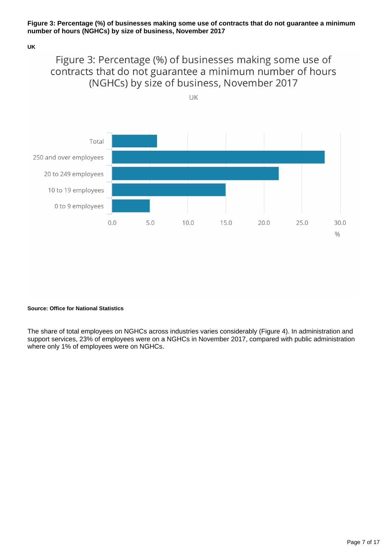#### **Figure 3: Percentage (%) of businesses making some use of contracts that do not guarantee a minimum number of hours (NGHCs) by size of business, November 2017**

#### **UK**

## Figure 3: Percentage (%) of businesses making some use of contracts that do not guarantee a minimum number of hours (NGHCs) by size of business, November 2017

UK



#### **Source: Office for National Statistics**

The share of total employees on NGHCs across industries varies considerably (Figure 4). In administration and support services, 23% of employees were on a NGHCs in November 2017, compared with public administration where only 1% of employees were on NGHCs.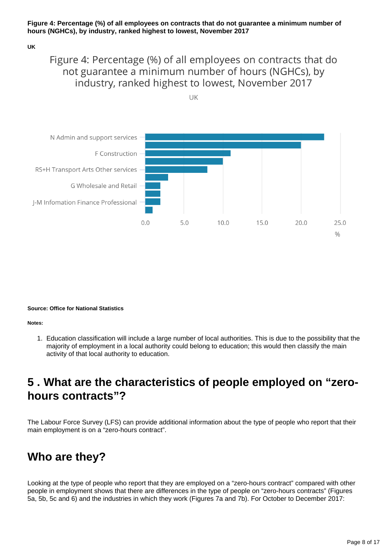### **Figure 4: Percentage (%) of all employees on contracts that do not guarantee a minimum number of hours (NGHCs), by industry, ranked highest to lowest, November 2017**

#### **UK**

## Figure 4: Percentage (%) of all employees on contracts that do not guarantee a minimum number of hours (NGHCs), by industry, ranked highest to lowest, November 2017

UK



**Source: Office for National Statistics**

**Notes:**

1. Education classification will include a large number of local authorities. This is due to the possibility that the majority of employment in a local authority could belong to education; this would then classify the main activity of that local authority to education.

## <span id="page-7-0"></span>**5 . What are the characteristics of people employed on "zerohours contracts"?**

The Labour Force Survey (LFS) can provide additional information about the type of people who report that their main employment is on a "zero-hours contract".

## **Who are they?**

Looking at the type of people who report that they are employed on a "zero-hours contract" compared with other people in employment shows that there are differences in the type of people on "zero-hours contracts" (Figures 5a, 5b, 5c and 6) and the industries in which they work (Figures 7a and 7b). For October to December 2017: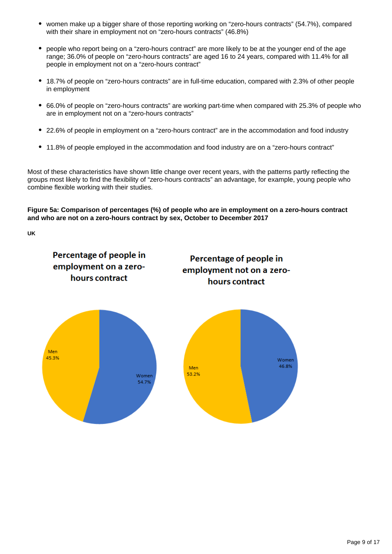- women make up a bigger share of those reporting working on "zero-hours contracts" (54.7%), compared with their share in employment not on "zero-hours contracts" (46.8%)
- people who report being on a "zero-hours contract" are more likely to be at the younger end of the age range; 36.0% of people on "zero-hours contracts" are aged 16 to 24 years, compared with 11.4% for all people in employment not on a "zero-hours contract"
- 18.7% of people on "zero-hours contracts" are in full-time education, compared with 2.3% of other people in employment
- 66.0% of people on "zero-hours contracts" are working part-time when compared with 25.3% of people who are in employment not on a "zero-hours contracts"
- 22.6% of people in employment on a "zero-hours contract" are in the accommodation and food industry
- 11.8% of people employed in the accommodation and food industry are on a "zero-hours contract"

Most of these characteristics have shown little change over recent years, with the patterns partly reflecting the groups most likely to find the flexibility of "zero-hours contracts" an advantage, for example, young people who combine flexible working with their studies.

**Figure 5a: Comparison of percentages (%) of people who are in employment on a zero-hours contract and who are not on a zero-hours contract by sex, October to December 2017**

**UK**

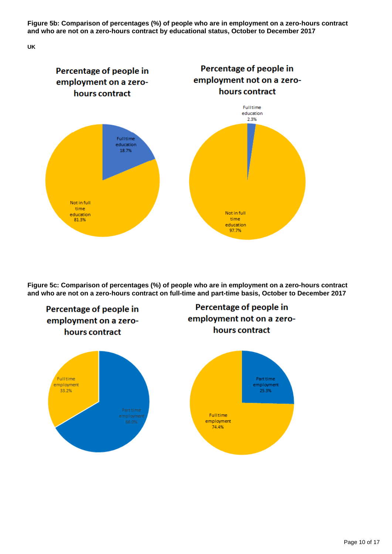**Figure 5b: Comparison of percentages (%) of people who are in employment on a zero-hours contract and who are not on a zero-hours contract by educational status, October to December 2017**

**UK**



**Figure 5c: Comparison of percentages (%) of people who are in employment on a zero-hours contract and who are not on a zero-hours contract on full-time and part-time basis, October to December 2017**

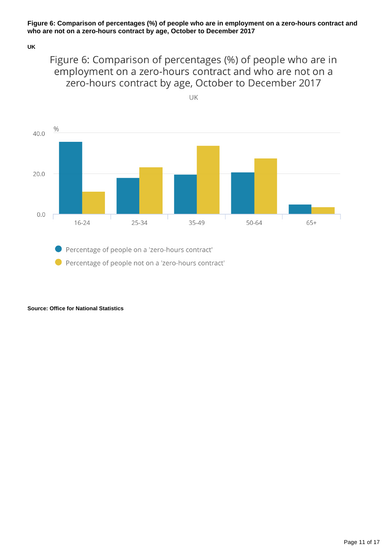### **Figure 6: Comparison of percentages (%) of people who are in employment on a zero-hours contract and who are not on a zero-hours contract by age, October to December 2017**

**UK**

Figure 6: Comparison of percentages (%) of people who are in employment on a zero-hours contract and who are not on a zero-hours contract by age, October to December 2017

UK



Percentage of people on a 'zero-hours contract' ● Percentage of people not on a 'zero-hours contract'

**Source: Office for National Statistics**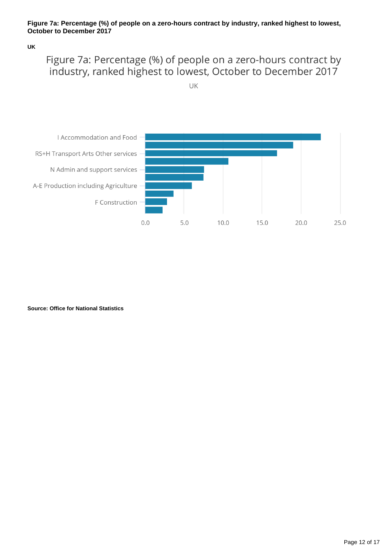### **Figure 7a: Percentage (%) of people on a zero-hours contract by industry, ranked highest to lowest, October to December 2017**

### **UK**

## Figure 7a: Percentage (%) of people on a zero-hours contract by industry, ranked highest to lowest, October to December 2017



**Source: Office for National Statistics**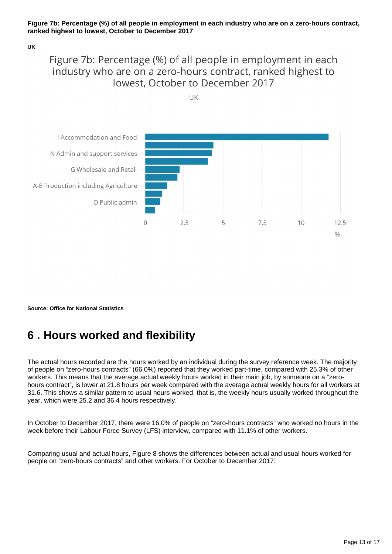#### **Figure 7b: Percentage (%) of all people in employment in each industry who are on a zero-hours contract, ranked highest to lowest, October to December 2017**

#### **UK**

## Figure 7b: Percentage (%) of all people in employment in each industry who are on a zero-hours contract, ranked highest to lowest. October to December 2017

UK



**Source: Office for National Statistics**

## <span id="page-12-0"></span>**6 . Hours worked and flexibility**

The actual hours recorded are the hours worked by an individual during the survey reference week. The majority of people on "zero-hours contracts" (66.0%) reported that they worked part-time, compared with 25.3% of other workers. This means that the average actual weekly hours worked in their main job, by someone on a "zerohours contract", is lower at 21.8 hours per week compared with the average actual weekly hours for all workers at 31.6. This shows a similar pattern to usual hours worked, that is, the weekly hours usually worked throughout the year, which were 25.2 and 36.4 hours respectively.

In October to December 2017, there were 16.0% of people on "zero-hours contracts" who worked no hours in the week before their Labour Force Survey (LFS) interview, compared with 11.1% of other workers.

Comparing usual and actual hours, Figure 8 shows the differences between actual and usual hours worked for people on "zero-hours contracts" and other workers. For October to December 2017: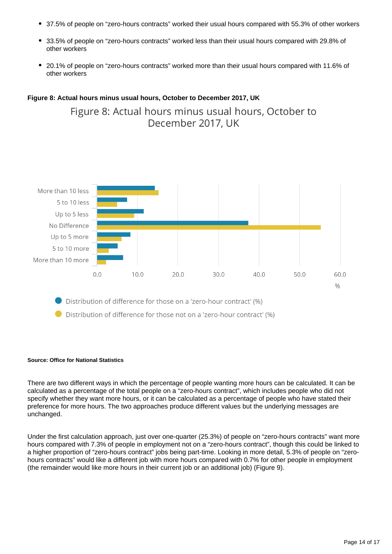- 37.5% of people on "zero-hours contracts" worked their usual hours compared with 55.3% of other workers
- 33.5% of people on "zero-hours contracts" worked less than their usual hours compared with 29.8% of other workers
- 20.1% of people on "zero-hours contracts" worked more than their usual hours compared with 11.6% of other workers

### **Figure 8: Actual hours minus usual hours, October to December 2017, UK**

Figure 8: Actual hours minus usual hours, October to December 2017, UK



Distribution of difference for those on a 'zero-hour contract' (%)

● Distribution of difference for those not on a 'zero-hour contract' (%)

#### **Source: Office for National Statistics**

There are two different ways in which the percentage of people wanting more hours can be calculated. It can be calculated as a percentage of the total people on a "zero-hours contract", which includes people who did not specify whether they want more hours, or it can be calculated as a percentage of people who have stated their preference for more hours. The two approaches produce different values but the underlying messages are unchanged.

Under the first calculation approach, just over one-quarter (25.3%) of people on "zero-hours contracts" want more hours compared with 7.3% of people in employment not on a "zero-hours contract", though this could be linked to a higher proportion of "zero-hours contract" jobs being part-time. Looking in more detail, 5.3% of people on "zerohours contracts" would like a different job with more hours compared with 0.7% for other people in employment (the remainder would like more hours in their current job or an additional job) (Figure 9).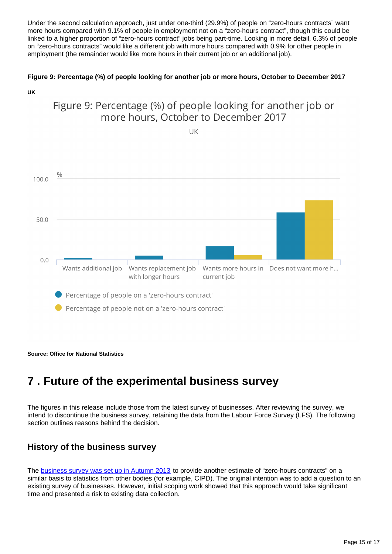Under the second calculation approach, just under one-third (29.9%) of people on "zero-hours contracts" want more hours compared with 9.1% of people in employment not on a "zero-hours contract", though this could be linked to a higher proportion of "zero-hours contract" jobs being part-time. Looking in more detail, 6.3% of people on "zero-hours contracts" would like a different job with more hours compared with 0.9% for other people in employment (the remainder would like more hours in their current job or an additional job).

### **Figure 9: Percentage (%) of people looking for another job or more hours, October to December 2017**



**Source: Office for National Statistics**

## <span id="page-14-0"></span>**7 . Future of the experimental business survey**

The figures in this release include those from the latest survey of businesses. After reviewing the survey, we intend to discontinue the business survey, retaining the data from the Labour Force Survey (LFS). The following section outlines reasons behind the decision.

### **History of the business survey**

The [business survey was set up in Autumn 2013](http://webarchive.nationalarchives.gov.uk/20160112053033/http:/www.ons.gov.uk/ons/dcp29904_325196.pdf) to provide another estimate of "zero-hours contracts" on a similar basis to statistics from other bodies (for example, CIPD). The original intention was to add a question to an existing survey of businesses. However, initial scoping work showed that this approach would take significant time and presented a risk to existing data collection.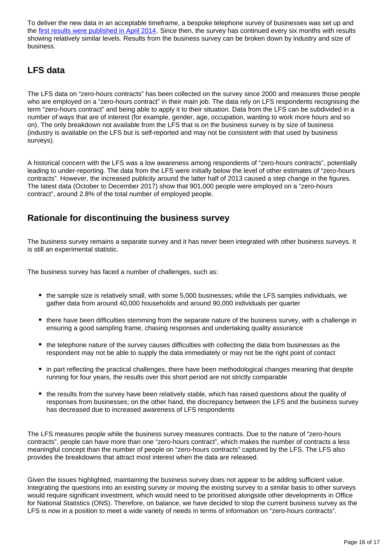To deliver the new data in an acceptable timeframe, a bespoke telephone survey of businesses was set up and the [first results were published in April 2014.](http://webarchive.nationalarchives.gov.uk/20160106105144/http:/www.ons.gov.uk/ons/rel/lmac/contracts-with-no-guaranteed-hours/zero-hours-contracts/art-zero-hours.html) Since then, the survey has continued every six months with results showing relatively similar levels. Results from the business survey can be broken down by industry and size of business.

### **LFS data**

The LFS data on "zero-hours contracts" has been collected on the survey since 2000 and measures those people who are employed on a "zero-hours contract" in their main job. The data rely on LFS respondents recognising the term "zero-hours contract" and being able to apply it to their situation. Data from the LFS can be subdivided in a number of ways that are of interest (for example, gender, age, occupation, wanting to work more hours and so on). The only breakdown not available from the LFS that is on the business survey is by size of business (industry is available on the LFS but is self-reported and may not be consistent with that used by business surveys).

A historical concern with the LFS was a low awareness among respondents of "zero-hours contracts", potentially leading to under-reporting. The data from the LFS were initially below the level of other estimates of "zero-hours contracts". However, the increased publicity around the latter half of 2013 caused a step change in the figures. The latest data (October to December 2017) show that 901,000 people were employed on a "zero-hours contract", around 2.8% of the total number of employed people.

### **Rationale for discontinuing the business survey**

The business survey remains a separate survey and it has never been integrated with other business surveys. It is still an experimental statistic.

The business survey has faced a number of challenges, such as:

- the sample size is relatively small, with some 5,000 businesses; while the LFS samples individuals, we gather data from around 40,000 households and around 90,000 individuals per quarter
- there have been difficulties stemming from the separate nature of the business survey, with a challenge in ensuring a good sampling frame, chasing responses and undertaking quality assurance
- the telephone nature of the survey causes difficulties with collecting the data from businesses as the respondent may not be able to supply the data immediately or may not be the right point of contact
- in part reflecting the practical challenges, there have been methodological changes meaning that despite running for four years, the results over this short period are not strictly comparable
- the results from the survey have been relatively stable, which has raised questions about the quality of responses from businesses; on the other hand, the discrepancy between the LFS and the business survey has decreased due to increased awareness of LFS respondents

The LFS measures people while the business survey measures contracts. Due to the nature of "zero-hours contracts", people can have more than one "zero-hours contract", which makes the number of contracts a less meaningful concept than the number of people on "zero-hours contracts" captured by the LFS. The LFS also provides the breakdowns that attract most interest when the data are released.

Given the issues highlighted, maintaining the business survey does not appear to be adding sufficient value. Integrating the questions into an existing survey or moving the existing survey to a similar basis to other surveys would require significant investment, which would need to be prioritised alongside other developments in Office for National Statistics (ONS). Therefore, on balance, we have decided to stop the current business survey as the LFS is now in a position to meet a wide variety of needs in terms of information on "zero-hours contracts".